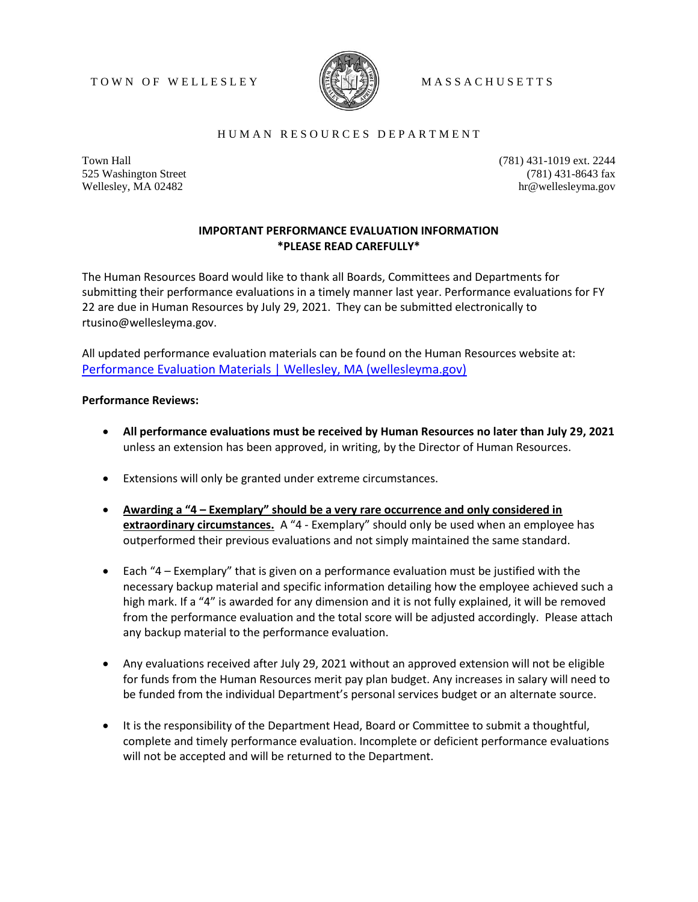#### TOWN OF WELLESLEY **NEW UP ASSACHUSETTS**



### H U M A N R E S O U R C E S D E P A R T M E N T

Town Hall 525 Washington Street Wellesley, MA 02482

(781) 431-1019 ext. 2244 (781) 431-8643 fax hr@wellesleyma.gov

# **IMPORTANT PERFORMANCE EVALUATION INFORMATION \*PLEASE READ CAREFULLY\***

The Human Resources Board would like to thank all Boards, Committees and Departments for submitting their performance evaluations in a timely manner last year. Performance evaluations for FY 22 are due in Human Resources by July 29, 2021. They can be submitted electronically to rtusino@wellesleyma.gov.

All updated performance evaluation materials can be found on the Human Resources website at: [Performance Evaluation Materials | Wellesley, MA \(wellesleyma.gov\)](https://wellesleyma.gov/216/Performance-Evaluation-Materials)

#### **Performance Reviews:**

- **All performance evaluations must be received by Human Resources no later than July 29, 2021** unless an extension has been approved, in writing, by the Director of Human Resources.
- Extensions will only be granted under extreme circumstances.
- **Awarding a "4 – Exemplary" should be a very rare occurrence and only considered in extraordinary circumstances.** A "4 - Exemplary" should only be used when an employee has outperformed their previous evaluations and not simply maintained the same standard.
- Each "4 Exemplary" that is given on a performance evaluation must be justified with the necessary backup material and specific information detailing how the employee achieved such a high mark. If a "4" is awarded for any dimension and it is not fully explained, it will be removed from the performance evaluation and the total score will be adjusted accordingly. Please attach any backup material to the performance evaluation.
- Any evaluations received after July 29, 2021 without an approved extension will not be eligible for funds from the Human Resources merit pay plan budget. Any increases in salary will need to be funded from the individual Department's personal services budget or an alternate source.
- It is the responsibility of the Department Head, Board or Committee to submit a thoughtful, complete and timely performance evaluation. Incomplete or deficient performance evaluations will not be accepted and will be returned to the Department.